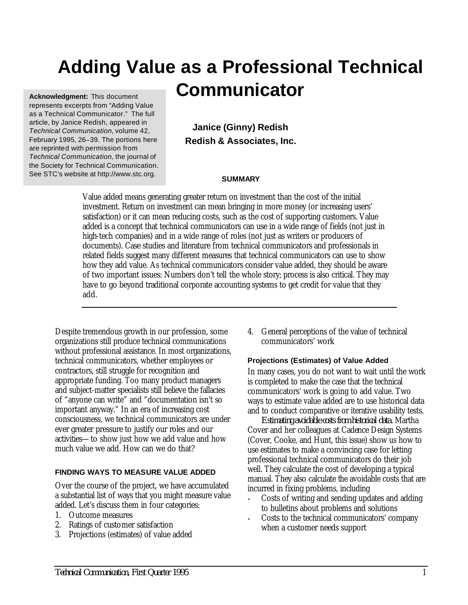# **Adding Value as a Professional Technical Communicator Acknowledgment:** This document

represents excerpts from "Adding Value as a Technical Communicator." The full article, by Janice Redish, appeared in *Technical Communication,* volume 42, February 1995, 26–39. The portions here are reprinted with permission from *Technical Communication,* the journal of the Society for Technical Communication. See STC's website at http://www.stc.org.

**Janice (Ginny) Redish Redish & Associates, Inc.**

### **SUMMARY**

Value added means generating greater return on investment than the cost of the initial investment. Return on investment can mean bringing in more money (or increasing users' satisfaction) or it can mean reducing costs, such as the cost of supporting customers. Value added is a concept that technical communicators can use in a wide range of fields (not just in high-tech companies) and in a wide range of roles (not just as writers or producers of documents). Case studies and literature from technical communicators and professionals in related fields suggest many different measures that technical communicators can use to show how they add value. As technical communicators consider value added, they should be aware of two important issues: Numbers don't tell the whole story; process is also critical. They may have to go beyond traditional corporate accounting systems to get credit for value that they add.

Despite tremendous growth in our profession, some organizations still produce technical communications without professional assistance. In most organizations, technical communicators, whether employees or contractors, still struggle for recognition and appropriate funding. Too many product managers and subject-matter specialists still believe the fallacies of "anyone can write" and "documentation isn't so important anyway." In an era of increasing cost consciousness, we technical communicators are under ever greater pressure to justify our roles and our activities—to show just how we add value and how much value we add. How can we do that?

# **FINDING WAYS TO MEASURE VALUE ADDED**

Over the course of the project, we have accumulated a substantial list of ways that you might measure value added. Let's discuss them in four categories:

- 1. Outcome measures
- 2. Ratings of customer satisfaction
- 3. Projections (estimates) of value added

4. General perceptions of the value of technical communicators' work

### **Projections (Estimates) of Value Added**

In many cases, you do not want to wait until the work is completed to make the case that the technical communicators' work is going to add value. Two ways to estimate value added are to use historical data and to conduct comparative or iterative usability tests.

*Estimating avoidable costs from historical data.* Martha Cover and her colleagues at Cadence Design Systems (Cover, Cooke, and Hunt, this issue) show us how to use estimates to make a convincing case for letting professional technical communicators do their job well. They calculate the cost of developing a typical manual. They also calculate the avoidable costs that are incurred in fixing problems, including

- Costs of writing and sending updates and adding to bulletins about problems and solutions
- Costs to the technical communicators' company when a customer needs support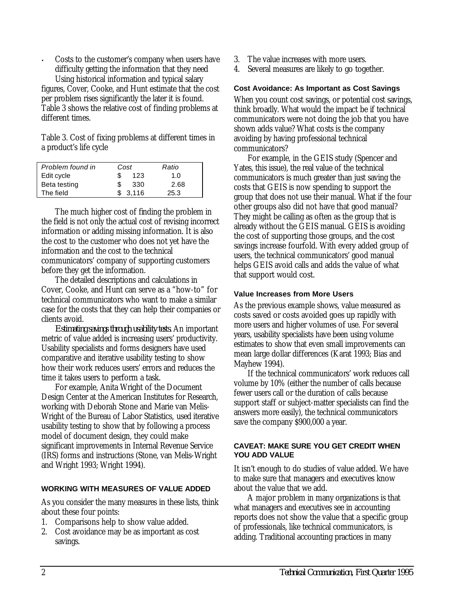• Costs to the customer's company when users have difficulty getting the information that they need Using historical information and typical salary

figures, Cover, Cooke, and Hunt estimate that the cost per problem rises significantly the later it is found. Table 3 shows the relative cost of finding problems at different times.

Table 3. Cost of fixing problems at different times in a product's life cycle

| Problem found in | Cost    | Ratio |
|------------------|---------|-------|
| Edit cycle       | 123     | 1.0   |
| Beta testing     | 330     | 2.68  |
| The field        | \$3.116 | 25.3  |

The much higher cost of finding the problem in the field is not only the actual cost of revising incorrect information or adding missing information. It is also the cost to the customer who does not yet have the information and the cost to the technical communicators' company of supporting customers before they get the information.

The detailed descriptions and calculations in Cover, Cooke, and Hunt can serve as a "how-to" for technical communicators who want to make a similar case for the costs that they can help their companies or clients avoid.

*Estimating savings through usability tests.* An important metric of value added is increasing users' productivity. Usability specialists and forms designers have used comparative and iterative usability testing to show how their work reduces users' errors and reduces the time it takes users to perform a task.

For example, Anita Wright of the Document Design Center at the American Institutes for Research, working with Deborah Stone and Marie van Melis-Wright of the Bureau of Labor Statistics, used iterative usability testing to show that by following a process model of document design, they could make significant improvements in Internal Revenue Service (IRS) forms and instructions (Stone, van Melis-Wright and Wright 1993; Wright 1994).

### **WORKING WITH MEASURES OF VALUE ADDED**

As you consider the many measures in these lists, think about these four points:

- 1. Comparisons help to show value added.
- 2. Cost avoidance may be as important as cost savings.
- 3. The value increases with more users.
- 4. Several measures are likely to go together.

## **Cost Avoidance: As Important as Cost Savings**

When you count cost savings, or potential cost savings, think broadly. What would the impact be if technical communicators were not doing the job that you have shown adds value? What costs is the company avoiding by having professional technical communicators?

For example, in the GEIS study (Spencer and Yates, this issue), the real value of the technical communicators is much greater than just saving the costs that GEIS is now spending to support the group that does not use their manual. What if the four other groups also did not have that good manual? They might be calling as often as the group that is already without the GEIS manual. GEIS is avoiding the cost of supporting those groups, and the cost savings increase fourfold. With every added group of users, the technical communicators' good manual helps GEIS avoid calls and adds the value of what that support would cost.

## **Value Increases from More Users**

As the previous example shows, value measured as costs saved or costs avoided goes up rapidly with more users and higher volumes of use. For several years, usability specialists have been using volume estimates to show that even small improvements can mean large dollar differences (Karat 1993; Bias and Mayhew 1994).

If the technical communicators' work reduces call volume by 10% (either the number of calls because fewer users call or the duration of calls because support staff or subject-matter specialists can find the answers more easily), the technical communicators save the company \$900,000 a year.

### **CAVEAT: MAKE SURE YOU GET CREDIT WHEN YOU ADD VALUE**

It isn't enough to do studies of value added. We have to make sure that managers and executives know about the value that we add.

A major problem in many organizations is that what managers and executives see in accounting reports does not show the value that a specific group of professionals, like technical communicators, is adding. Traditional accounting practices in many